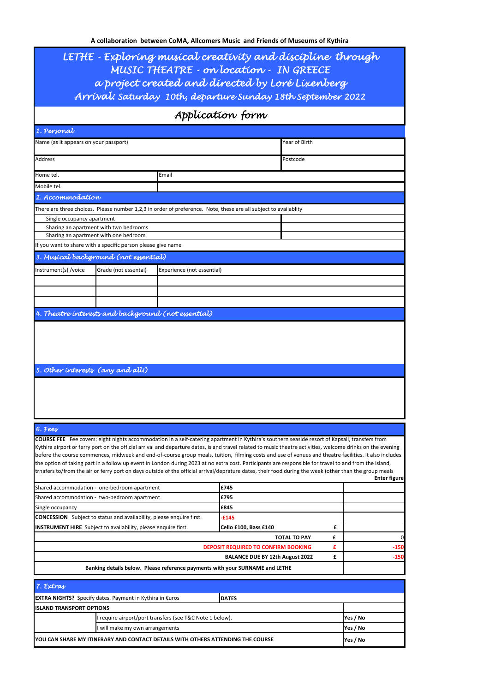| LETHE - Exploring musical creativity and discipline through<br>MUSIC THEATRE - on location - IN GREECE<br>a project created and directed by Loré Lixenberg<br>Arrival: Saturday 10th, departure Sunday 18th September 2022<br>Application form |                            |                                                                                                                                                                                                                                                                                                                                                                                                                                                                                                                                                                                                                                                                                                                                                                                            |   |                     |  |  |  |  |
|------------------------------------------------------------------------------------------------------------------------------------------------------------------------------------------------------------------------------------------------|----------------------------|--------------------------------------------------------------------------------------------------------------------------------------------------------------------------------------------------------------------------------------------------------------------------------------------------------------------------------------------------------------------------------------------------------------------------------------------------------------------------------------------------------------------------------------------------------------------------------------------------------------------------------------------------------------------------------------------------------------------------------------------------------------------------------------------|---|---------------------|--|--|--|--|
|                                                                                                                                                                                                                                                |                            |                                                                                                                                                                                                                                                                                                                                                                                                                                                                                                                                                                                                                                                                                                                                                                                            |   |                     |  |  |  |  |
| Name (as it appears on your passport)                                                                                                                                                                                                          |                            | Year of Birth                                                                                                                                                                                                                                                                                                                                                                                                                                                                                                                                                                                                                                                                                                                                                                              |   |                     |  |  |  |  |
| Address                                                                                                                                                                                                                                        |                            | Postcode                                                                                                                                                                                                                                                                                                                                                                                                                                                                                                                                                                                                                                                                                                                                                                                   |   |                     |  |  |  |  |
|                                                                                                                                                                                                                                                |                            |                                                                                                                                                                                                                                                                                                                                                                                                                                                                                                                                                                                                                                                                                                                                                                                            |   |                     |  |  |  |  |
| Home tel.                                                                                                                                                                                                                                      | Email                      |                                                                                                                                                                                                                                                                                                                                                                                                                                                                                                                                                                                                                                                                                                                                                                                            |   |                     |  |  |  |  |
| Mobile tel.                                                                                                                                                                                                                                    |                            |                                                                                                                                                                                                                                                                                                                                                                                                                                                                                                                                                                                                                                                                                                                                                                                            |   |                     |  |  |  |  |
| 2. Accommodation                                                                                                                                                                                                                               |                            |                                                                                                                                                                                                                                                                                                                                                                                                                                                                                                                                                                                                                                                                                                                                                                                            |   |                     |  |  |  |  |
| There are three choices. Please number 1,2,3 in order of preference. Note, these are all subject to availablity<br>Single occupancy apartment                                                                                                  |                            |                                                                                                                                                                                                                                                                                                                                                                                                                                                                                                                                                                                                                                                                                                                                                                                            |   |                     |  |  |  |  |
| Sharing an apartment with two bedrooms                                                                                                                                                                                                         |                            |                                                                                                                                                                                                                                                                                                                                                                                                                                                                                                                                                                                                                                                                                                                                                                                            |   |                     |  |  |  |  |
| Sharing an apartment with one bedroom                                                                                                                                                                                                          |                            |                                                                                                                                                                                                                                                                                                                                                                                                                                                                                                                                                                                                                                                                                                                                                                                            |   |                     |  |  |  |  |
| If you want to share with a specific person please give name                                                                                                                                                                                   |                            |                                                                                                                                                                                                                                                                                                                                                                                                                                                                                                                                                                                                                                                                                                                                                                                            |   |                     |  |  |  |  |
| 3. Musical background (not essential)                                                                                                                                                                                                          |                            |                                                                                                                                                                                                                                                                                                                                                                                                                                                                                                                                                                                                                                                                                                                                                                                            |   |                     |  |  |  |  |
| Instrument(s) /voice<br>Grade (not essentai)                                                                                                                                                                                                   | Experience (not essential) |                                                                                                                                                                                                                                                                                                                                                                                                                                                                                                                                                                                                                                                                                                                                                                                            |   |                     |  |  |  |  |
|                                                                                                                                                                                                                                                |                            |                                                                                                                                                                                                                                                                                                                                                                                                                                                                                                                                                                                                                                                                                                                                                                                            |   |                     |  |  |  |  |
|                                                                                                                                                                                                                                                |                            |                                                                                                                                                                                                                                                                                                                                                                                                                                                                                                                                                                                                                                                                                                                                                                                            |   |                     |  |  |  |  |
| 4. Theatre interests and background (not essential)                                                                                                                                                                                            |                            |                                                                                                                                                                                                                                                                                                                                                                                                                                                                                                                                                                                                                                                                                                                                                                                            |   |                     |  |  |  |  |
| 5. Other interests (any and all!)                                                                                                                                                                                                              |                            |                                                                                                                                                                                                                                                                                                                                                                                                                                                                                                                                                                                                                                                                                                                                                                                            |   |                     |  |  |  |  |
| 6. Fees                                                                                                                                                                                                                                        |                            |                                                                                                                                                                                                                                                                                                                                                                                                                                                                                                                                                                                                                                                                                                                                                                                            |   |                     |  |  |  |  |
|                                                                                                                                                                                                                                                |                            | COURSE FEE Fee covers: eight nights accommodation in a self-catering apartment in Kythira's southern seaside resort of Kapsali, transfers from<br>Kythira airport or ferry port on the official arrival and departure dates, island travel related to music theatre activities, welcome drinks on the evening<br>before the course commences, midweek and end-of-course group meals, tuition, filming costs and use of venues and theatre facilities. It also includes<br>the option of taking part in a follow up event in London during 2023 at no extra cost. Participants are responsible for travel to and from the island,<br>trnafers to/from the air or ferry port on days outside of the official arrival/deprature dates, their food during the week (other than the group meals |   | <b>Enter figure</b> |  |  |  |  |
| Shared accommodation - one-bedroom apartment<br>Shared accommodation - two-bedroom apartment                                                                                                                                                   |                            | £745<br>£795                                                                                                                                                                                                                                                                                                                                                                                                                                                                                                                                                                                                                                                                                                                                                                               |   |                     |  |  |  |  |
| Single occupancy                                                                                                                                                                                                                               |                            | £845                                                                                                                                                                                                                                                                                                                                                                                                                                                                                                                                                                                                                                                                                                                                                                                       |   |                     |  |  |  |  |
| <b>CONCESSION</b> Subject to status and availability, please enquire first.                                                                                                                                                                    |                            | $-£145$                                                                                                                                                                                                                                                                                                                                                                                                                                                                                                                                                                                                                                                                                                                                                                                    |   |                     |  |  |  |  |
| <b>INSTRUMENT HIRE</b> Subject to availability, please enquire first.                                                                                                                                                                          |                            | Cello £100, Bass £140                                                                                                                                                                                                                                                                                                                                                                                                                                                                                                                                                                                                                                                                                                                                                                      | £ |                     |  |  |  |  |
|                                                                                                                                                                                                                                                |                            | <b>TOTAL TO PAY</b>                                                                                                                                                                                                                                                                                                                                                                                                                                                                                                                                                                                                                                                                                                                                                                        | £ | 0                   |  |  |  |  |
|                                                                                                                                                                                                                                                |                            | DEPOSIT REQUIRED TO CONFIRM BOOKING                                                                                                                                                                                                                                                                                                                                                                                                                                                                                                                                                                                                                                                                                                                                                        | £ | -150                |  |  |  |  |
| £<br><b>BALANCE DUE BY 12th August 2022</b><br>$-150$<br>Banking details below. Please reference payments with your SURNAME and LETHE                                                                                                          |                            |                                                                                                                                                                                                                                                                                                                                                                                                                                                                                                                                                                                                                                                                                                                                                                                            |   |                     |  |  |  |  |
|                                                                                                                                                                                                                                                |                            |                                                                                                                                                                                                                                                                                                                                                                                                                                                                                                                                                                                                                                                                                                                                                                                            |   |                     |  |  |  |  |
| 7. Extras                                                                                                                                                                                                                                      |                            |                                                                                                                                                                                                                                                                                                                                                                                                                                                                                                                                                                                                                                                                                                                                                                                            |   |                     |  |  |  |  |
| <b>EXTRA NIGHTS?</b> Specify dates. Payment in Kythira in €uros                                                                                                                                                                                |                            | <b>DATES</b>                                                                                                                                                                                                                                                                                                                                                                                                                                                                                                                                                                                                                                                                                                                                                                               |   |                     |  |  |  |  |
| <b>ISLAND TRANSPORT OPTIONS</b>                                                                                                                                                                                                                |                            |                                                                                                                                                                                                                                                                                                                                                                                                                                                                                                                                                                                                                                                                                                                                                                                            |   |                     |  |  |  |  |
| require airport/port transfers (see T&C Note 1 below).<br>will make my own arrangements                                                                                                                                                        | Yes / No<br>Yes / No       |                                                                                                                                                                                                                                                                                                                                                                                                                                                                                                                                                                                                                                                                                                                                                                                            |   |                     |  |  |  |  |
| YOU CAN SHARE MY ITINERARY AND CONTACT DETAILS WITH OTHERS ATTENDING THE COURSE                                                                                                                                                                | Yes / No                   |                                                                                                                                                                                                                                                                                                                                                                                                                                                                                                                                                                                                                                                                                                                                                                                            |   |                     |  |  |  |  |
|                                                                                                                                                                                                                                                |                            |                                                                                                                                                                                                                                                                                                                                                                                                                                                                                                                                                                                                                                                                                                                                                                                            |   |                     |  |  |  |  |